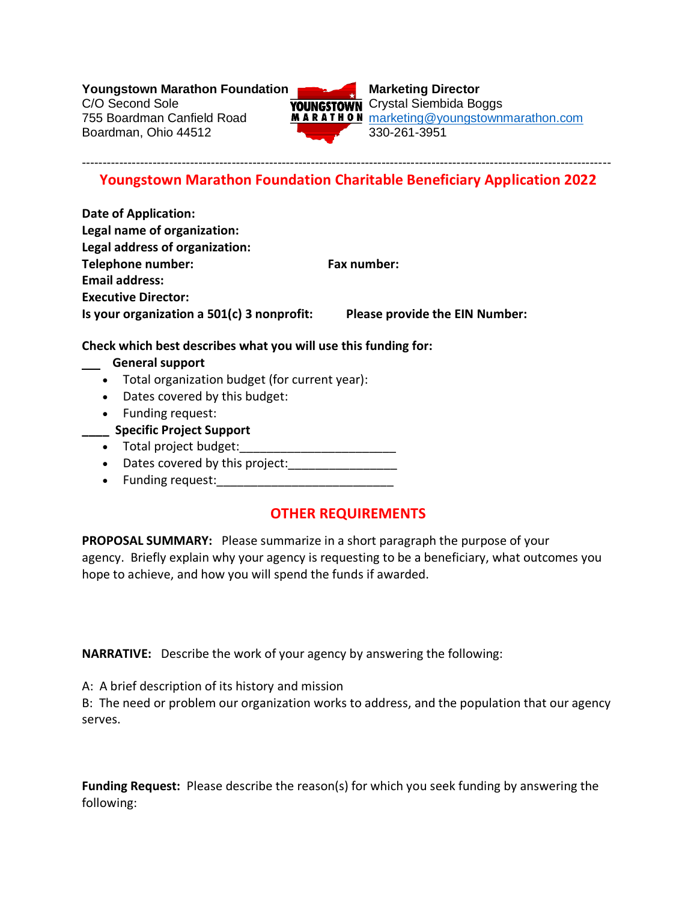**Youngstown Marathon Foundation**<br>C/O Second Sole<br>**WAINCETOWN** Crystal Siembida Bo

Boardman, Ohio 44512 330-261-3951



**YOUNGSTOWN** Crystal Siembida Boggs 755 Boardman Canfield Road **MARATHON** [marketing@youngstownmarathon.com](mailto:marketing@youngstownmarathon.com)

#### ------------------------------------------------------------------------------------------------------------------------------- **Youngstown Marathon Foundation Charitable Beneficiary Application 2022**

**Date of Application: Legal name of organization: Legal address of organization: Telephone number:** Fax number: **Email address: Executive Director: Is your organization a 501(c) 3 nonprofit: Please provide the EIN Number:**

### **Check which best describes what you will use this funding for:**

#### **General support**

- Total organization budget (for current year):
- Dates covered by this budget:
- Funding request:
- **\_\_\_\_ Specific Project Support**
- Total project budget:
- Dates covered by this project:
- Funding request:

# **OTHER REQUIREMENTS**

**PROPOSAL SUMMARY:** Please summarize in a short paragraph the purpose of your agency. Briefly explain why your agency is requesting to be a beneficiary, what outcomes you hope to achieve, and how you will spend the funds if awarded.

**NARRATIVE:** Describe the work of your agency by answering the following:

A: A brief description of its history and mission

B: The need or problem our organization works to address, and the population that our agency serves.

**Funding Request:** Please describe the reason(s) for which you seek funding by answering the following: